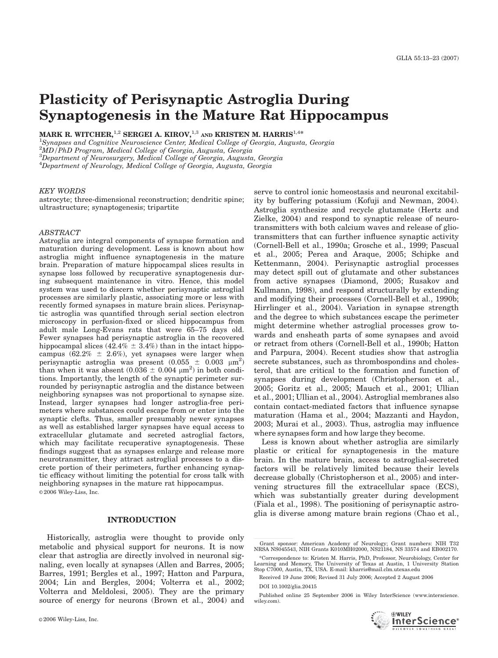# Plasticity of Perisynaptic Astroglia During Synaptogenesis in the Mature Rat Hippocampus

MARK R. WITCHER, <sup>1,2</sup> SERGEI A. KIROV, <sup>1,3</sup> AND KRISTEN M. HARRIS<sup>1,4\*</sup>

<sup>1</sup>Synapses and Cognitive Neuroscience Center, Medical College of Georgia, Augusta, Georgia

 $\frac{2MD}{PhD}$  Program, Medical College of Georgia, Augusta, Georgia

 ${}^{3}$ Department of Neurosurgery, Medical College of Georgia, Augusta, Georgia

<sup>4</sup>Department of Neurology, Medical College of Georgia, Augusta, Georgia

#### KEY WORDS

astrocyte; three-dimensional reconstruction; dendritic spine; ultrastructure; synaptogenesis; tripartite

#### ABSTRACT

Astroglia are integral components of synapse formation and maturation during development. Less is known about how astroglia might influence synaptogenesis in the mature brain. Preparation of mature hippocampal slices results in synapse loss followed by recuperative synaptogenesis during subsequent maintenance in vitro. Hence, this model system was used to discern whether perisynaptic astroglial processes are similarly plastic, associating more or less with recently formed synapses in mature brain slices. Perisynaptic astroglia was quantified through serial section electron microscopy in perfusion-fixed or sliced hippocampus from adult male Long-Evans rats that were 65–75 days old. Fewer synapses had perisynaptic astroglia in the recovered hippocampal slices (42.4%  $\pm$  3.4%) than in the intact hippocampus (62.2%  $\pm$  2.6%), yet synapses were larger when perisynaptic astroglia was present  $(0.055 \pm 0.003 \mu m^2)$ than when it was absent  $(0.036 \pm 0.004 \mu m^2)$  in both conditions. Importantly, the length of the synaptic perimeter surrounded by perisynaptic astroglia and the distance between neighboring synapses was not proportional to synapse size. Instead, larger synapses had longer astroglia-free perimeters where substances could escape from or enter into the synaptic clefts. Thus, smaller presumably newer synapses as well as established larger synapses have equal access to extracellular glutamate and secreted astroglial factors, which may facilitate recuperative synaptogenesis. These findings suggest that as synapses enlarge and release more neurotransmitter, they attract astroglial processes to a discrete portion of their perimeters, further enhancing synaptic efficacy without limiting the potential for cross talk with neighboring synapses in the mature rat hippocampus. © 2006 Wiley-Liss, Inc.

# INTRODUCTION

Historically, astroglia were thought to provide only metabolic and physical support for neurons. It is now clear that astroglia are directly involved in neuronal signaling, even locally at synapses (Allen and Barres, 2005; Barres, 1991; Bergles et al., 1997; Hatton and Parpura, 2004; Lin and Bergles, 2004; Volterra et al., 2002; Volterra and Meldolesi, 2005). They are the primary source of energy for neurons (Brown et al., 2004) and

serve to control ionic homeostasis and neuronal excitability by buffering potassium (Kofuji and Newman, 2004). Astroglia synthesize and recycle glutamate (Hertz and Zielke, 2004) and respond to synaptic release of neurotransmitters with both calcium waves and release of gliotransmitters that can further influence synaptic activity (Cornell-Bell et al., 1990a; Grosche et al., 1999; Pascual et al., 2005; Perea and Araque, 2005; Schipke and Kettenmann, 2004). Perisynaptic astroglial processes may detect spill out of glutamate and other substances from active synapses (Diamond, 2005; Rusakov and Kullmann, 1998), and respond structurally by extending and modifying their processes (Cornell-Bell et al., 1990b; Hirrlinger et al., 2004). Variation in synapse strength and the degree to which substances escape the perimeter might determine whether astroglial processes grow towards and ensheath parts of some synapses and avoid or retract from others (Cornell-Bell et al., 1990b; Hatton and Parpura, 2004). Recent studies show that astroglia secrete substances, such as thrombospondins and cholesterol, that are critical to the formation and function of synapses during development (Christopherson et al., 2005; Goritz et al., 2005; Mauch et al., 2001; Ullian et al., 2001; Ullian et al., 2004). Astroglial membranes also contain contact-mediated factors that influence synapse maturation (Hama et al., 2004; Mazzanti and Haydon, 2003; Murai et al., 2003). Thus, astroglia may influence where synapses form and how large they become.

Less is known about whether astroglia are similarly plastic or critical for synaptogenesis in the mature brain. In the mature brain, access to astroglial-secreted factors will be relatively limited because their levels decrease globally (Christopherson et al., 2005) and intervening structures fill the extracellular space (ECS), which was substantially greater during development (Fiala et al., 1998). The positioning of perisynaptic astroglia is diverse among mature brain regions (Chao et al.,

Grant sponsor: American Academy of Neurology; Grant numbers: NIH T32 NRSA NS045543, NIH Grants K010MH02000, NS21184, NS 33574 and EB002170.

\*Correspondence to: Kristen M. Harris, PhD, Professor, Neurobiology, Center for Learning and Memory, The University of Texas at Austin, 1 University Station Stop C7000, Austin, TX, USA. E-mail: kharris@mail.clm.utexas.edu

Received 19 June 2006; Revised 31 July 2006; Accepted 2 August 2006 DOI 10.1002/glia.20415

Published online 25 September 2006 in Wiley InterScience (www.interscience. wiley.com).

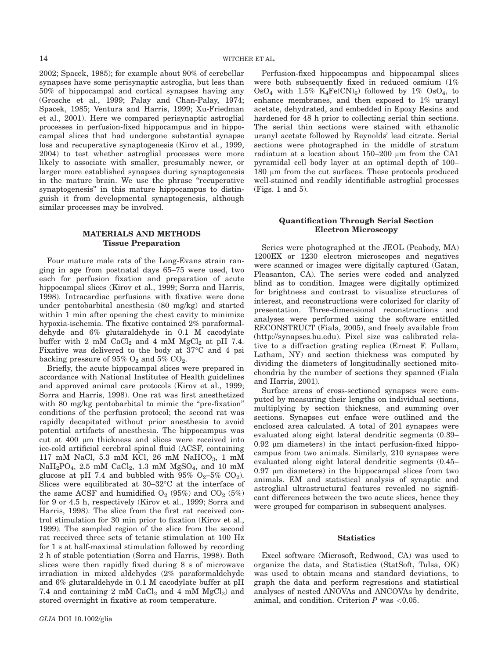2002; Spacek, 1985); for example about 90% of cerebellar synapses have some perisynaptic astroglia, but less than 50% of hippocampal and cortical synapses having any (Grosche et al., 1999; Palay and Chan-Palay, 1974; Spacek, 1985; Ventura and Harris, 1999; Xu-Friedman et al., 2001). Here we compared perisynaptic astroglial processes in perfusion-fixed hippocampus and in hippocampal slices that had undergone substantial synapse loss and recuperative synaptogenesis (Kirov et al., 1999, 2004) to test whether astroglial processes were more likely to associate with smaller, presumably newer, or larger more established synapses during synaptogenesis in the mature brain. We use the phrase "recuperative synaptogenesis'' in this mature hippocampus to distinguish it from developmental synaptogenesis, although similar processes may be involved.

## MATERIALS AND METHODS Tissue Preparation

Four mature male rats of the Long-Evans strain ranging in age from postnatal days 65–75 were used, two each for perfusion fixation and preparation of acute hippocampal slices (Kirov et al., 1999; Sorra and Harris, 1998). Intracardiac perfusions with fixative were done under pentobarbital anesthesia (80 mg/kg) and started within 1 min after opening the chest cavity to minimize hypoxia-ischemia. The fixative contained 2% paraformaldehyde and 6% glutaraldehyde in 0.1 M cacodylate buffer with 2 mM  $CaCl<sub>2</sub>$  and 4 mM  $MgCl<sub>2</sub>$  at pH 7.4. Fixative was delivered to the body at  $37^{\circ}$ C and 4 psi backing pressure of  $95\%$  O<sub>2</sub> and  $5\%$  CO<sub>2</sub>.

Briefly, the acute hippocampal slices were prepared in accordance with National Institutes of Health guidelines and approved animal care protocols (Kirov et al., 1999; Sorra and Harris, 1998). One rat was first anesthetized with 80 mg/kg pentobarbital to mimic the "pre-fixation" conditions of the perfusion protocol; the second rat was rapidly decapitated without prior anesthesia to avoid potential artifacts of anesthesia. The hippocampus was cut at  $400 \mu m$  thickness and slices were received into ice-cold artificial cerebral spinal fluid (ACSF, containing 117 mM NaCl, 5.3 mM KCl, 26 mM NaHCO $_3$ , 1 mM  $NaH<sub>2</sub>PO<sub>4</sub>$ , 2.5 mM  $CaCl<sub>2</sub>$ , 1.3 mM  $MgSO<sub>4</sub>$ , and 10 mM glucose at pH 7.4 and bubbled with  $95\%$  O<sub>2</sub>–5% CO<sub>2</sub>). Slices were equilibrated at  $30-32$ °C at the interface of the same ACSF and humidified  $O_2$  (95%) and  $CO_2$  (5%) for 9 or 4.5 h, respectively (Kirov et al., 1999; Sorra and Harris, 1998). The slice from the first rat received control stimulation for 30 min prior to fixation (Kirov et al., 1999). The sampled region of the slice from the second rat received three sets of tetanic stimulation at 100 Hz for 1 s at half-maximal stimulation followed by recording 2 h of stable potentiation (Sorra and Harris, 1998). Both slices were then rapidly fixed during 8 s of microwave irradiation in mixed aldehydes (2% paraformaldehyde and 6% glutaraldehyde in 0.1 M cacodylate buffer at pH 7.4 and containing 2 mM  $CaCl<sub>2</sub>$  and 4 mM  $MgCl<sub>2</sub>$ ) and stored overnight in fixative at room temperature.

Perfusion-fixed hippocampus and hippocampal slices were both subsequently fixed in reduced osmium (1%  $OsO<sub>4</sub>$  with 1.5% K<sub>4</sub>Fe(CN)<sub>6</sub>) followed by 1% OsO<sub>4</sub>, to enhance membranes, and then exposed to 1% uranyl acetate, dehydrated, and embedded in Epoxy Resins and hardened for 48 h prior to collecting serial thin sections. The serial thin sections were stained with ethanolic uranyl acetate followed by Reynolds' lead citrate. Serial sections were photographed in the middle of stratum radiatum at a location about  $150-200$  µm from the CA1 pyramidal cell body layer at an optimal depth of 100– 180 µm from the cut surfaces. These protocols produced well-stained and readily identifiable astroglial processes (Figs. 1 and 5).

## Quantification Through Serial Section Electron Microscopy

Series were photographed at the JEOL (Peabody, MA) 1200EX or 1230 electron microscopes and negatives were scanned or images were digitally captured (Gatan, Pleasanton, CA). The series were coded and analyzed blind as to condition. Images were digitally optimized for brightness and contrast to visualize structures of interest, and reconstructions were colorized for clarity of presentation. Three-dimensional reconstructions and analyses were performed using the software entitled RECONSTRUCT (Fiala, 2005), and freely available from (http://synapses.bu.edu). Pixel size was calibrated relative to a diffraction grating replica (Ernest F. Fullam, Latham, NY) and section thickness was computed by dividing the diameters of longitudinally sectioned mitochondria by the number of sections they spanned (Fiala and Harris, 2001).

Surface areas of cross-sectioned synapses were computed by measuring their lengths on individual sections, multiplying by section thickness, and summing over sections. Synapses cut enface were outlined and the enclosed area calculated. A total of 201 synapses were evaluated along eight lateral dendritic segments (0.39–  $0.92 \mu m$  diameters) in the intact perfusion-fixed hippocampus from two animals. Similarly, 210 synapses were evaluated along eight lateral dendritic segments (0.45–  $0.97 \mu m$  diameters) in the hippocampal slices from two animals. EM and statistical analysis of synaptic and astroglial ultrastructural features revealed no significant differences between the two acute slices, hence they were grouped for comparison in subsequent analyses.

### **Statistics**

Excel software (Microsoft, Redwood, CA) was used to organize the data, and Statistica (StatSoft, Tulsa, OK) was used to obtain means and standard deviations, to graph the data and perform regressions and statistical analyses of nested ANOVAs and ANCOVAs by dendrite, animal, and condition. Criterion  $P$  was  $\leq 0.05$ .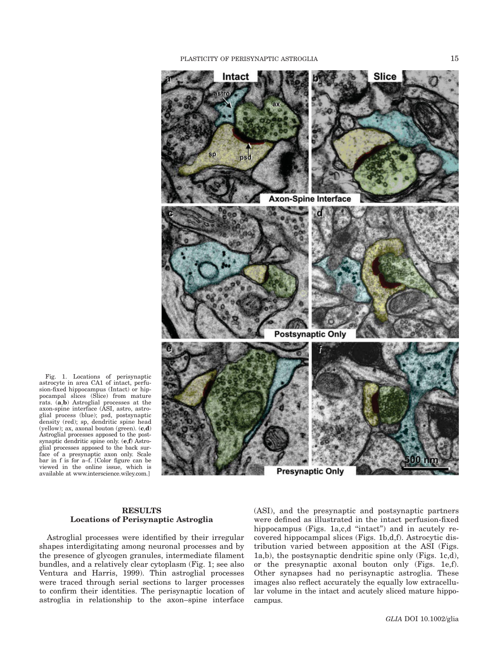

Fig. 1. Locations of perisynaptic astrocyte in area CA1 of intact, perfusion-fixed hippocampus (Intact) or hippocampal slices (Slice) from mature rats. (a,b) Astroglial processes at the axon-spine interface (ASI, astro, astroglial process (blue); psd, postsynaptic density (red); sp, dendritic spine head<br>(yellow); ax, axonal bouton (green). (**c,d**) Astroglial processes apposed to the postsynaptic dendritic spine only. (e,f) Astroglial processes apposed to the back surface of a presynaptic axon only. Scale bar in f is for a–f. [Color figure can be viewed in the online issue, which is available at www.interscience.wiley.com.]

## RESULTS Locations of Perisynaptic Astroglia

Astroglial processes were identified by their irregular shapes interdigitating among neuronal processes and by the presence of glycogen granules, intermediate filament bundles, and a relatively clear cytoplasm (Fig. 1; see also Ventura and Harris, 1999). Thin astroglial processes were traced through serial sections to larger processes to confirm their identities. The perisynaptic location of astroglia in relationship to the axon–spine interface

(ASI), and the presynaptic and postsynaptic partners were defined as illustrated in the intact perfusion-fixed hippocampus (Figs. 1a,c,d "intact") and in acutely recovered hippocampal slices (Figs. 1b,d,f). Astrocytic distribution varied between apposition at the ASI (Figs. 1a,b), the postsynaptic dendritic spine only (Figs. 1c,d), or the presynaptic axonal bouton only (Figs. 1e,f). Other synapses had no perisynaptic astroglia. These images also reflect accurately the equally low extracellular volume in the intact and acutely sliced mature hippocampus.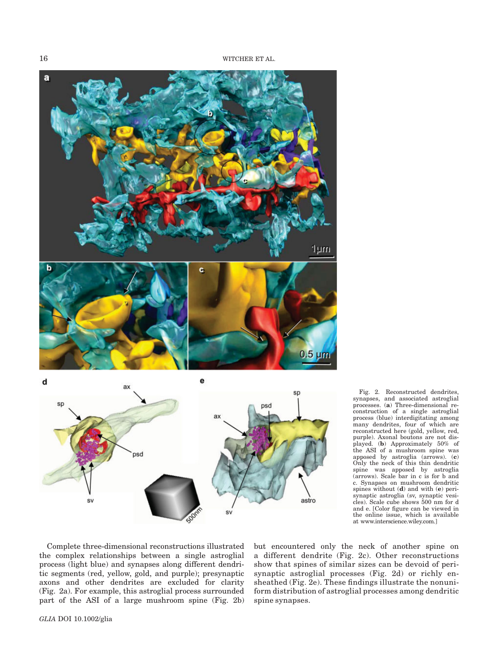16 WITCHER ET AL.





Fig. 2. Reconstructed dendrites, synapses, and associated astroglial processes. (a) Three-dimensional reconstruction of a single astroglial process (blue) interdigitating among many dendrites, four of which are reconstructed here (gold, yellow, red, purple). Axonal boutons are not displayed. (b) Approximately 50% of the ASI of a mushroom spine was apposed by astroglia (arrows). (c) Only the neck of this thin dendritic spine was apposed by astroglia (arrows). Scale bar in c is for b and c. Synapses on mushroom dendritic spines without (d) and with (e) perisynaptic astroglia (sv, synaptic vesicles). Scale cube shows 500 nm for d and e. [Color figure can be viewed in the online issue, which is available at www.interscience.wiley.com.]

Complete three-dimensional reconstructions illustrated the complex relationships between a single astroglial process (light blue) and synapses along different dendritic segments (red, yellow, gold, and purple); presynaptic axons and other dendrites are excluded for clarity (Fig. 2a). For example, this astroglial process surrounded part of the ASI of a large mushroom spine (Fig. 2b)

but encountered only the neck of another spine on a different dendrite (Fig. 2c). Other reconstructions show that spines of similar sizes can be devoid of perisynaptic astroglial processes (Fig. 2d) or richly ensheathed (Fig. 2e). These findings illustrate the nonuniform distribution of astroglial processes among dendritic spine synapses.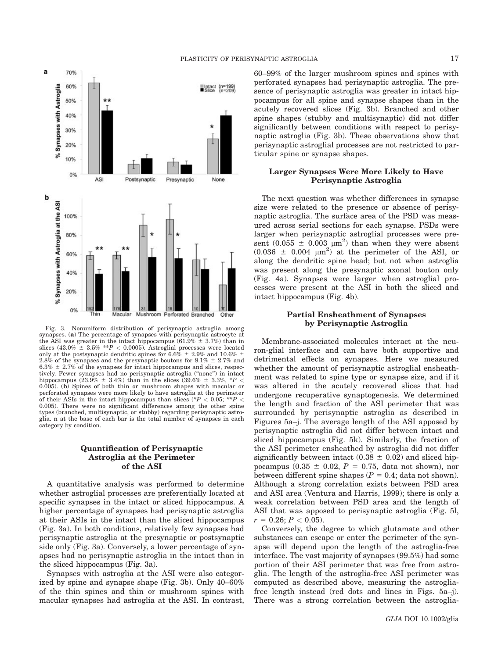

Fig. 3. Nonuniform distribution of perisynaptic astroglia among synapses. (a) The percentage of synapses with perisynaptic astrocyte at the ASI was greater in the intact hippocampus (61.9%  $\pm$  3.7%) than in slices (43.0%  $\pm$  3.5% \*\*P < 0.0005). Astroglial processes were located only at the postsynaptic dendritic spines for 6.6%  $\pm$  2.9% and 10.6%  $\pm$ 2.8% of the synapses and the presynaptic boutons for 8.1%  $\pm$  2.7% and  $6.3\% \pm 2.7\%$  of the synapses for intact hippocampus and slices, respectively. Fewer synapses had no perisynaptic astroglia ("none") in intact hippocampus (23.9%  $\pm$  3.4%) than in the slices (39.6%  $\pm$  3.3%,  $*P$  < 0.005). (b) Spines of both thin or mushroom shapes with macular or perforated synapses were more likely to have astroglia at the perimeter of their ASIs in the intact hippocampus than slices (\*P < 0.05; \*\*P < 0.005). There were no significant differences among the other spine types (branched, multisynaptic, or stubby) regarding perisynaptic astroglia. n at the base of each bar is the total number of synapses in each category by condition.

## Quantification of Perisynaptic Astroglia at the Perimeter of the ASI

A quantitative analysis was performed to determine whether astroglial processes are preferentially located at specific synapses in the intact or sliced hippocampus. A higher percentage of synapses had perisynaptic astroglia at their ASIs in the intact than the sliced hippocampus (Fig. 3a). In both conditions, relatively few synapses had perisynaptic astroglia at the presynaptic or postsynaptic side only (Fig. 3a). Conversely, a lower percentage of synapses had no perisynaptic astroglia in the intact than in the sliced hippocampus (Fig. 3a).

Synapses with astroglia at the ASI were also categorized by spine and synapse shape (Fig. 3b). Only 40–60% of the thin spines and thin or mushroom spines with macular synapses had astroglia at the ASI. In contrast, 60–99% of the larger mushroom spines and spines with perforated synapses had perisynaptic astroglia. The presence of perisynaptic astroglia was greater in intact hippocampus for all spine and synapse shapes than in the acutely recovered slices (Fig. 3b). Branched and other spine shapes (stubby and multisynaptic) did not differ significantly between conditions with respect to perisynaptic astroglia (Fig. 3b). These observations show that perisynaptic astroglial processes are not restricted to particular spine or synapse shapes.

# Larger Synapses Were More Likely to Have Perisynaptic Astroglia

The next question was whether differences in synapse size were related to the presence or absence of perisynaptic astroglia. The surface area of the PSD was measured across serial sections for each synapse. PSDs were larger when perisynaptic astroglial processes were present  $(0.055 \pm 0.003 \mu m^2)$  than when they were absent  $(0.036 \pm 0.004 \mu m^2)$  at the perimeter of the ASI, or along the dendritic spine head; but not when astroglia was present along the presynaptic axonal bouton only (Fig. 4a). Synapses were larger when astroglial processes were present at the ASI in both the sliced and intact hippocampus (Fig. 4b).

### Partial Ensheathment of Synapses by Perisynaptic Astroglia

Membrane-associated molecules interact at the neuron-glial interface and can have both supportive and detrimental effects on synapses. Here we measured whether the amount of perisynaptic astroglial ensheathment was related to spine type or synapse size, and if it was altered in the acutely recovered slices that had undergone recuperative synaptogenesis. We determined the length and fraction of the ASI perimeter that was surrounded by perisynaptic astroglia as described in Figures 5a–j. The average length of the ASI apposed by perisynaptic astroglia did not differ between intact and sliced hippocampus (Fig. 5k). Similarly, the fraction of the ASI perimeter ensheathed by astroglia did not differ significantly between intact  $(0.38 \pm 0.02)$  and sliced hippocampus (0.35  $\pm$  0.02, P = 0.75, data not shown), nor between different spine shapes ( $P = 0.4$ ; data not shown). Although a strong correlation exists between PSD area and ASI area (Ventura and Harris, 1999); there is only a weak correlation between PSD area and the length of ASI that was apposed to perisynaptic astroglia (Fig. 5l,  $r = 0.26; P < 0.05$ ).

Conversely, the degree to which glutamate and other substances can escape or enter the perimeter of the synapse will depend upon the length of the astroglia-free interface. The vast majority of synapses (99.5%) had some portion of their ASI perimeter that was free from astroglia. The length of the astroglia-free ASI perimeter was computed as described above, measuring the astrogliafree length instead (red dots and lines in Figs. 5a–j). There was a strong correlation between the astroglia-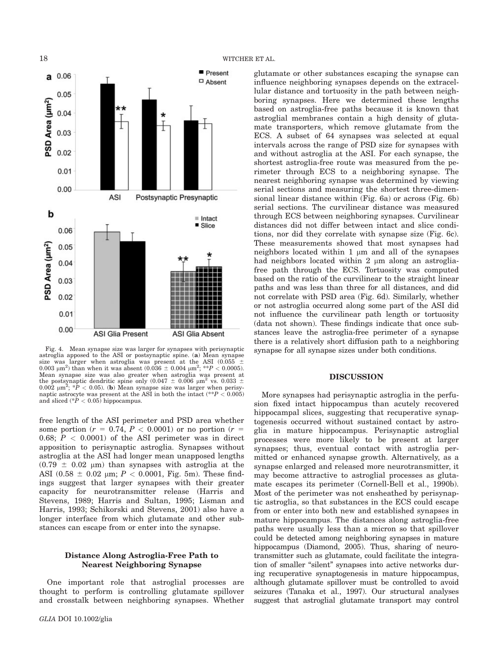



Fig. 4. Mean synapse size was larger for synapses with perisynaptic astroglia apposed to the ASI or postsynaptic spine. (a) Mean synapse size was larger when astroglia was present at the ASI (0.055 0.003  $\mu$ m<sup>2</sup>) than when it was absent (0.036  $\pm$  0.004  $\mu$ m<sup>2</sup>; \*\*P < 0.0005). Mean synapse size was also greater when astroglia was present at the postsynaptic dendritic spine only  $(0.047 \pm 0.006 \mu m^2 \text{ vs. } 0.033 \pm 0.006 \text{ s})$  $0.002 \mu m^2$ ;  $P < 0.05$ ). (b) Mean synapse size was larger when perisynaptic astrocyte was present at the ASI in both the intact (\*\* $P < 0.005$ ) and sliced  $(*P < 0.05)$  hippocampus.

free length of the ASI perimeter and PSD area whether some portion ( $r = 0.74$ ,  $P < 0.0001$ ) or no portion ( $r =$ 0.68;  $P < 0.0001$  of the ASI perimeter was in direct apposition to perisynaptic astroglia. Synapses without astroglia at the ASI had longer mean unapposed lengths  $(0.79 \pm 0.02 \mu m)$  than synapses with astroglia at the ASI (0.58  $\pm$  0.02 µm; P < 0.0001, Fig. 5m). These findings suggest that larger synapses with their greater capacity for neurotransmitter release (Harris and Stevens, 1989; Harris and Sultan, 1995; Lisman and Harris, 1993; Schikorski and Stevens, 2001) also have a longer interface from which glutamate and other substances can escape from or enter into the synapse.

# Distance Along Astroglia-Free Path to Nearest Neighboring Synapse

One important role that astroglial processes are thought to perform is controlling glutamate spillover and crosstalk between neighboring synapses. Whether glutamate or other substances escaping the synapse can influence neighboring synapses depends on the extracellular distance and tortuosity in the path between neighboring synapses. Here we determined these lengths based on astroglia-free paths because it is known that astroglial membranes contain a high density of glutamate transporters, which remove glutamate from the ECS. A subset of 64 synapses was selected at equal intervals across the range of PSD size for synapses with and without astroglia at the ASI. For each synapse, the shortest astroglia-free route was measured from the perimeter through ECS to a neighboring synapse. The nearest neighboring synapse was determined by viewing serial sections and measuring the shortest three-dimensional linear distance within (Fig. 6a) or across (Fig. 6b) serial sections. The curvilinear distance was measured through ECS between neighboring synapses. Curvilinear distances did not differ between intact and slice conditions, nor did they correlate with synapse size (Fig. 6c). These measurements showed that most synapses had neighbors located within  $1 \mu m$  and all of the synapses had neighbors located within  $2 \mu$  m along an astrogliafree path through the ECS. Tortuosity was computed based on the ratio of the curvilinear to the straight linear paths and was less than three for all distances, and did not correlate with PSD area (Fig. 6d). Similarly, whether or not astroglia occurred along some part of the ASI did not influence the curvilinear path length or tortuosity (data not shown). These findings indicate that once substances leave the astroglia-free perimeter of a synapse there is a relatively short diffusion path to a neighboring synapse for all synapse sizes under both conditions.

## DISCUSSION

More synapses had perisynaptic astroglia in the perfusion fixed intact hippocampus than acutely recovered hippocampal slices, suggesting that recuperative synaptogenesis occurred without sustained contact by astroglia in mature hippocampus. Perisynaptic astroglial processes were more likely to be present at larger synapses; thus, eventual contact with astroglia permitted or enhanced synapse growth. Alternatively, as a synapse enlarged and released more neurotransmitter, it may become attractive to astroglial processes as glutamate escapes its perimeter (Cornell-Bell et al., 1990b). Most of the perimeter was not ensheathed by perisynaptic astroglia, so that substances in the ECS could escape from or enter into both new and established synapses in mature hippocampus. The distances along astroglia-free paths were usually less than a micron so that spillover could be detected among neighboring synapses in mature hippocampus (Diamond, 2005). Thus, sharing of neurotransmitter such as glutamate, could facilitate the integration of smaller "silent" synapses into active networks during recuperative synaptogenesis in mature hippocampus, although glutamate spillover must be controlled to avoid seizures (Tanaka et al., 1997). Our structural analyses suggest that astroglial glutamate transport may control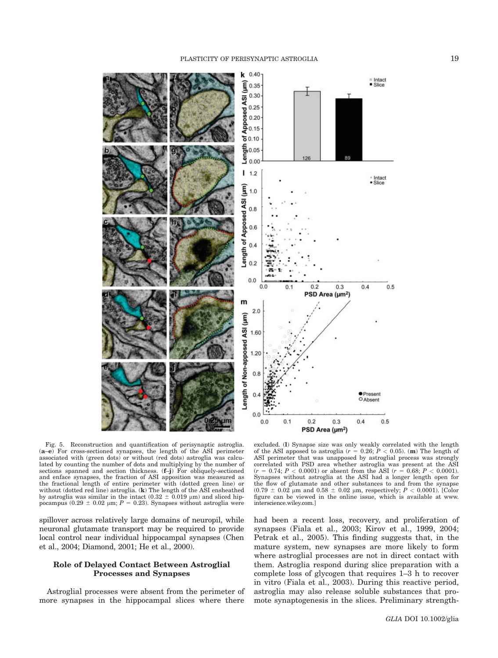

Fig. 5. Reconstruction and quantification of perisynaptic astroglia. (a–e) For cross-sectioned synapses, the length of the ASI perimeter associated with (green dots) or without (red dots) astroglia was calculated by counting the number of dots and multiplying by the number of sections spanned and section thickness. (f–j) For obliquely-sectioned and enface synapses, the fraction of ASI apposition was measured as the fractional length of entire perimeter with (dotted green line) or without (dotted red line) astroglia. (k) The length of the ASI ensheathed by astroglia was similar in the intact  $(0.32 \pm 0.019 \text{ }\mu\text{m})$  and sliced hip-<br>pocampus  $(0.29 \pm 0.02 \text{ }\mu\text{m}; P = 0.23)$ . Synapses without astroglia were

spillover across relatively large domains of neuropil, while neuronal glutamate transport may be required to provide local control near individual hippocampal synapses (Chen et al., 2004; Diamond, 2001; He et al., 2000).

## Role of Delayed Contact Between Astroglial Processes and Synapses

Astroglial processes were absent from the perimeter of more synapses in the hippocampal slices where there

excluded. (I) Synapse size was only weakly correlated with the length of the ASI apposed to astroglia  $(r = 0.26; P < 0.05)$ . (m) The length of ASI perimeter that was unapposed by astroglial process was strongly correlated with PSD area whether astroglia was present at the ASI  $(r = 0.74; P < 0.0001)$  or absent from the ASI  $(r = 0.68; P < 0.0001)$ . Synapses without astroglia at the ASI had a longer length open for the flow of glutamate and other substances to and from the synapse  $(0.79 \pm 0.02 \mu m$  and  $0.58 \pm 0.02 \mu m$ , respectively;  $P < 0.0001$ ). [Color figure can be viewed in the online issue, which is available at www. interscience.wiley.com.]

had been a recent loss, recovery, and proliferation of synapses (Fiala et al., 2003; Kirov et al., 1999, 2004; Petrak et al., 2005). This finding suggests that, in the mature system, new synapses are more likely to form where astroglial processes are not in direct contact with them. Astroglia respond during slice preparation with a complete loss of glycogen that requires 1–3 h to recover in vitro (Fiala et al., 2003). During this reactive period, astroglia may also release soluble substances that promote synaptogenesis in the slices. Preliminary strength-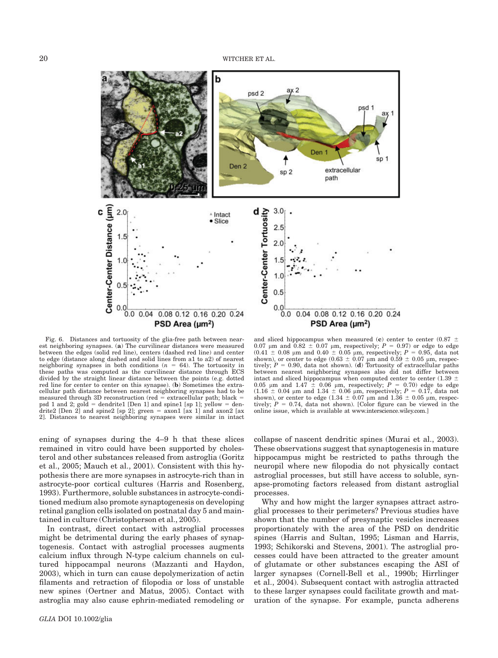b psd 2 psd Den SD Den<sub>2</sub> extracellular  $sp<sub>2</sub>$ path Center-Center Distance (µm) Center-Center Tortuosity  $3.0<sub>1</sub>$ .  $2.0$ <sup>▲</sup> Intact  $\bullet$  Slice  $2.5$  $1.5$  $2.0$  $1.5$  $1.0$  $1.0$  $0.5$  $0.5$  $0.0 0.0$  $0.0 0.0$ 0.08 0.12 0.16 0.20 0.24 0.04 0.08 0.12 0.16 0.20 0.24  $0.04$ PSD Area  $(\mu m^2)$ PSD Area (µm<sup>2</sup>)

Fig. 6. Distances and tortuosity of the glia-free path between nearest neighboring synapses. (a) The curvilinear distances were measured between the edges (solid red line), centers (dashed red line) and center to edge (distance along dashed and solid lines from a1 to a2) of nearest neighboring synapses in both conditions ( $n = 64$ ). The tortuosity in these paths was computed as the curvilinear distance through ECS divided by the straight linear distance between the points (e.g. dotted red line for center to center on this synapse). (b) Sometimes the extracellular path distance between nearest neighboring synapses had to be measured through 3D reconstruction (red  $=$  extracellular path; black  $=$ psd 1 and 2;  $\text{gold} = \text{dendrite1}$  [Den 1] and spine1 [sp 1];  $\text{yellow} = \text{den-}$ drite2 [Den 2] and spine2 [sp 2]; green = axon1 [ax 1] and axon2 [ax 2]. Distances to nearest neighboring synapses were similar in intact

ening of synapses during the 4–9 h that these slices remained in vitro could have been supported by cholesterol and other substances released from astroglia (Goritz et al., 2005; Mauch et al., 2001). Consistent with this hypothesis there are more synapses in astrocyte-rich than in astrocyte-poor cortical cultures (Harris and Rosenberg, 1993). Furthermore, soluble substances in astrocyte-conditioned medium also promote synaptogenesis on developing retinal ganglion cells isolated on postnatal day 5 and maintained in culture (Christopherson et al., 2005).

In contrast, direct contact with astroglial processes might be detrimental during the early phases of synaptogenesis. Contact with astroglial processes augments calcium influx through N-type calcium channels on cultured hippocampal neurons (Mazzanti and Haydon, 2003), which in turn can cause depolymerization of actin filaments and retraction of filopodia or loss of unstable new spines (Oertner and Matus, 2005). Contact with astroglia may also cause ephrin-mediated remodeling or

collapse of nascent dendritic spines (Murai et al., 2003). between nearest neighboring synapses also did not differ between intact and sliced hippocampus when computed center to center (1.39  $\pm$ 0.05  $\mu$ m and 1.47  $\pm$  0.06  $\mu$ m, respectively; P = 0.70) edge to edge (1.16  $\pm$  0.04  $\mu$ m and 1.34  $\pm$  0.06  $\mu$ m, respectively;  $P = 0.17$ , data not shown), or center to edge (1.34  $\pm$  0.07  $\mu$ m and 1.36  $\pm$  0.05  $\mu$ m, respectively;  $P = 0.74$ , data not shown). [Color figure can be viewed in the online issue, which is available at www.interscience.wiley.com.]

and sliced hippocampus when measured (c) center to center (0.87  $\pm$  0.07  $\mu$ m and 0.82  $\pm$  0.07  $\mu$ m, respectively;  $P = 0.97$ ) or edge to edge  $(0.41 \pm 0.08 \mu m$  and  $0.40 \pm 0.05 \mu m$ , respectively;  $P = 0.95$ , data not shown), or center to edge  $(0.63 \pm 0.07 \mu m)$  and  $(0.59 \pm 0.05 \mu m)$ , respectively;  $P = 0.90$ , data not shown). (**d**) Tortuosity of extracellular paths

These observations suggest that synaptogenesis in mature hippocampus might be restricted to paths through the neuropil where new filopodia do not physically contact astroglial processes, but still have access to soluble, synapse-promoting factors released from distant astroglial processes.

Why and how might the larger synapses attract astroglial processes to their perimeters? Previous studies have shown that the number of presynaptic vesicles increases proportionately with the area of the PSD on dendritic spines (Harris and Sultan, 1995; Lisman and Harris, 1993; Schikorski and Stevens, 2001). The astroglial processes could have been attracted to the greater amount of glutamate or other substances escaping the ASI of larger synapses (Cornell-Bell et al., 1990b; Hirrlinger et al., 2004). Subsequent contact with astroglia attracted to these larger synapses could facilitate growth and maturation of the synapse. For example, puncta adherens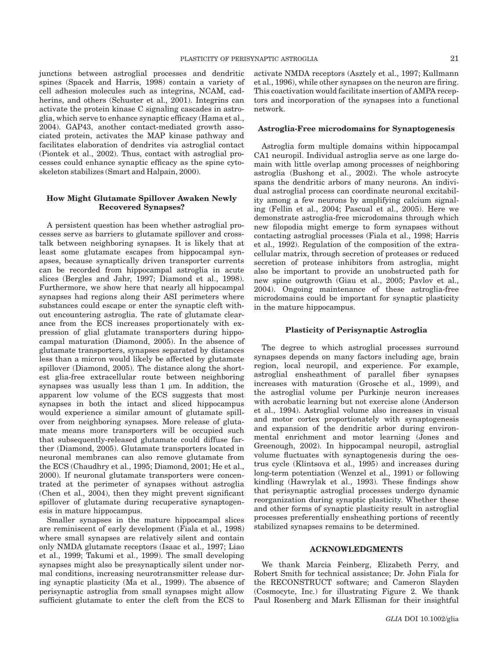junctions between astroglial processes and dendritic spines (Spacek and Harris, 1998) contain a variety of cell adhesion molecules such as integrins, NCAM, cadherins, and others (Schuster et al., 2001). Integrins can activate the protein kinase C signaling cascades in astroglia, which serve to enhance synaptic efficacy (Hama et al., 2004). GAP43, another contact-mediated growth associated protein, activates the MAP kinase pathway and facilitates elaboration of dendrites via astroglial contact (Piontek et al., 2002). Thus, contact with astroglial processes could enhance synaptic efficacy as the spine cytoskeleton stabilizes (Smart and Halpain, 2000).

# How Might Glutamate Spillover Awaken Newly Recovered Synapses?

A persistent question has been whether astroglial processes serve as barriers to glutamate spillover and crosstalk between neighboring synapses. It is likely that at least some glutamate escapes from hippocampal synapses, because synaptically driven transporter currents can be recorded from hippocampal astroglia in acute slices (Bergles and Jahr, 1997; Diamond et al., 1998). Furthermore, we show here that nearly all hippocampal synapses had regions along their ASI perimeters where substances could escape or enter the synaptic cleft without encountering astroglia. The rate of glutamate clearance from the ECS increases proportionately with expression of glial glutamate transporters during hippocampal maturation (Diamond, 2005). In the absence of glutamate transporters, synapses separated by distances less than a micron would likely be affected by glutamate spillover (Diamond, 2005). The distance along the shortest glia-free extracellular route between neighboring synapses was usually less than  $1 \mu m$ . In addition, the apparent low volume of the ECS suggests that most synapses in both the intact and sliced hippocampus would experience a similar amount of glutamate spillover from neighboring synapses. More release of glutamate means more transporters will be occupied such that subsequently-released glutamate could diffuse farther (Diamond, 2005). Glutamate transporters located in neuronal membranes can also remove glutamate from the ECS (Chaudhry et al., 1995; Diamond, 2001; He et al., 2000). If neuronal glutamate transporters were concentrated at the perimeter of synapses without astroglia (Chen et al., 2004), then they might prevent significant spillover of glutamate during recuperative synaptogenesis in mature hippocampus.

Smaller synapses in the mature hippocampal slices are reminiscent of early development (Fiala et al., 1998) where small synapses are relatively silent and contain only NMDA glutamate receptors (Isaac et al., 1997; Liao et al., 1999; Takumi et al., 1999). The small developing synapses might also be presynaptically silent under normal conditions, increasing neurotransmitter release during synaptic plasticity (Ma et al., 1999). The absence of perisynaptic astroglia from small synapses might allow sufficient glutamate to enter the cleft from the ECS to activate NMDA receptors (Asztely et al., 1997; Kullmann et al., 1996), while other synapses on the neuron are firing. This coactivation would facilitate insertion of AMPA receptors and incorporation of the synapses into a functional network.

#### Astroglia-Free microdomains for Synaptogenesis

Astroglia form multiple domains within hippocampal CA1 neuropil. Individual astroglia serve as one large domain with little overlap among processes of neighboring astroglia (Bushong et al., 2002). The whole astrocyte spans the dendritic arbors of many neurons. An individual astroglial process can coordinate neuronal excitability among a few neurons by amplifying calcium signaling (Fellin et al., 2004; Pascual et al., 2005). Here we demonstrate astroglia-free microdomains through which new filopodia might emerge to form synapses without contacting astroglial processes (Fiala et al., 1998; Harris et al., 1992). Regulation of the composition of the extracellular matrix, through secretion of proteases or reduced secretion of protease inhibitors from astroglia, might also be important to provide an unobstructed path for new spine outgrowth (Giau et al., 2005; Pavlov et al., 2004). Ongoing maintenance of these astroglia-free microdomains could be important for synaptic plasticity in the mature hippocampus.

### Plasticity of Perisynaptic Astroglia

The degree to which astroglial processes surround synapses depends on many factors including age, brain region, local neuropil, and experience. For example, astroglial ensheathment of parallel fiber synapses increases with maturation (Grosche et al., 1999), and the astroglial volume per Purkinje neuron increases with acrobatic learning but not exercise alone (Anderson et al., 1994). Astroglial volume also increases in visual and motor cortex proportionately with synaptogenesis and expansion of the dendritic arbor during environmental enrichment and motor learning (Jones and Greenough, 2002). In hippocampal neuropil, astroglial volume fluctuates with synaptogenesis during the oestrus cycle (Klintsova et al., 1995) and increases during long-term potentiation (Wenzel et al., 1991) or following kindling (Hawrylak et al., 1993). These findings show that perisynaptic astroglial processes undergo dynamic reorganization during synaptic plasticity. Whether these and other forms of synaptic plasticity result in astroglial processes preferentially ensheathing portions of recently stabilized synapses remains to be determined.

### ACKNOWLEDGMENTS

We thank Marcia Feinberg, Elizabeth Perry, and Robert Smith for technical assistance; Dr. John Fiala for the RECONSTRUCT software; and Cameron Slayden (Cosmocyte, Inc.) for illustrating Figure 2. We thank Paul Rosenberg and Mark Ellisman for their insightful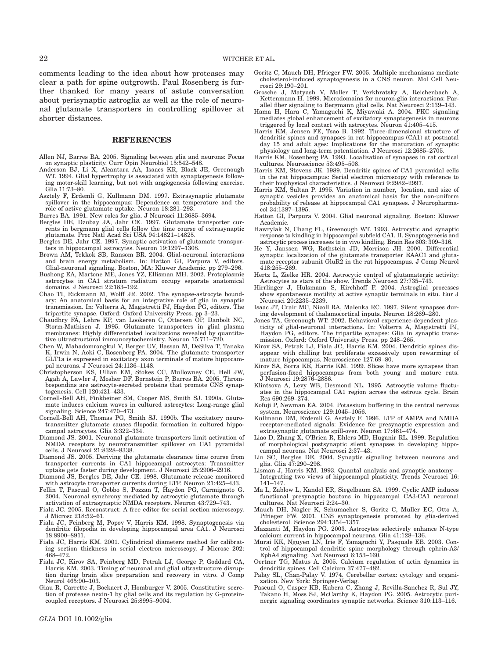comments leading to the idea about how proteases may clear a path for spine outgrowth. Paul Rosenberg is further thanked for many years of astute conversation about perisynaptic astroglia as well as the role of neuronal glutamate transporters in controlling spillover at shorter distances.

#### REFERENCES

- Allen NJ, Barres BA. 2005. Signaling between glia and neurons: Focus on synaptic plasticity. Curr Opin Neurobiol 15:542–548.
- Anderson BJ, Li X, Alcantara AA, Isaacs KR, Black JE, Greenough WT. 1994. Glial hypertrophy is associated with synaptogenesis following motor-skill learning, but not with angiogenesis following exercise. Glia 11:73–80.
- Asztely F, Erdemli G, Kullmann DM. 1997. Extrasynaptic glutamate spillover in the hippocampus: Dependence on temperature and the role of active glutamate uptake. Neuron 18:281–293.
- Barres BA. 1991. New roles for glia. J Neurosci 11:3685–3694.
- Bergles DE, Dzubay JA, Jahr CE. 1997. Glutamate transporter currents in bergmann glial cells follow the time course of extrasynaptic glutamate. Proc Natl Acad Sci USA 94:14821–14825.
- Bergles DE, Jahr CE. 1997. Synaptic activation of glutamate transporters in hippocampal astrocytes. Neuron 19:1297–1308.
- Brown AM, Tekkok SB, Ransom BR. 2004. Glial-neuronal interactions and brain energy metabolism. In: Hatton GI, Parpura V, editors. Glial-neuronal signaling. Boston, MA: Kluwer Academic. pp 279–296.
- Bushong EA, Martone ME, Jones YZ, Ellisman MH. 2002. Protoplasmic astrocytes in CA1 stratum radiatum occupy separate anatomical domains. J Neurosci 22:183–192.
- Chao TI, Rickmann M, Wolff JR. 2002. The synapse-astrocyte boundary: An anatomical basis for an integrative role of glia in synaptic transmission. In: Volterra A, Magistretti PJ, Haydon PG, editors. The tripartite synapse. Oxford: Oxford University Press. pp 3–23.
- Chaudhry FA, Lehre KP, van Lookeren C, Ottersen OP, Danbolt NC, Storm-Mathisen J. 1995. Glutamate transporters in glial plasma membranes: Highly differentiated localizations revealed by quantitative ultrastructural immunocytochemistry. Neuron 15:711–720.
- Chen W, Mahadomrongkul V, Berger UV, Bassan M, DeSilva T, Tanaka K, Irwin N, Aoki C, Rosenberg PA. 2004. The glutamate transporter GLT1a is expressed in excitatory axon terminals of mature hippocampal neurons. J Neurosci 24:1136–1148.
- Christopherson KS, Ullian EM, Stokes CC, Mullowney CE, Hell JW, Agah A, Lawler J, Mosher DF, Bornstein P, Barres BA. 2005. Thrombospondins are astrocyte-secreted proteins that promote CNS synaptogenesis. Cell 120:421–433.
- Cornell-Bell AH, Finkbeiner SM, Cooper MS, Smith SJ. 1990a. Glutamate induces calcium waves in cultured astrocytes: Long-range glial signaling. Science 247:470–473.
- Cornell-Bell AH, Thomas PG, Smith SJ. 1990b. The excitatory neurotransmitter glutamate causes filopodia formation in cultured hippocampal astrocytes. Glia 3:322–334.
- Diamond JS. 2001. Neuronal glutamate transporters limit activation of NMDA receptors by neurotransmitter spillover on CA1 pyramidal cells. J Neurosci 21:8328–8338.
- Diamond JS. 2005. Deriving the glutamate clearance time course from transporter currents in CA1 hippocampal astrocytes: Transmitter uptake gets faster during development. J Neurosci 25:2906–2916.
- Diamond JS, Bergles DE, Jahr CE. 1998. Glutamate release monitored with astrocyte transporter currents during LTP. Neuron 21:425–433.
- Fellin T, Pascual O, Gobbo S, Pozzan T, Haydon PG, Carmignoto G. 2004. Neuronal synchrony mediated by astrocytic glutamate through activation of extrasynaptic NMDA receptors. Neuron 43:729–743.
- Fiala JC. 2005. Reconstruct: A free editor for serial section microscopy. J Microsc 218:52–61.
- Fiala JC, Feinberg M, Popov V, Harris KM. 1998. Synaptogenesis via dendritic filopodia in developing hippocampal area CA1. J Neurosci 18:8900–8911.
- Fiala JC, Harris KM. 2001. Cylindrical diameters method for calibrating section thickness in serial electron microscopy. J Microsc 202: 468–472.
- Fiala JC, Kirov SA, Feinberg MD, Petrak LJ, George P, Goddard CA, Harris KM. 2003. Timing of neuronal and glial ultrastructure disruption during brain slice preparation and recovery in vitro. J Comp Neurol 465:90–103.
- Giau R, Carrette J, Bockaert J, Homburger V. 2005. Constitutive secretion of protease nexin-1 by glial cells and its regulation by G-proteincoupled receptors. J Neurosci 25:8995–9004.
- Goritz C, Mauch DH, Pfrieger FW. 2005. Multiple mechanisms mediate cholesterol-induced synaptogenesis in a CNS neuron. Mol Cell Neurosci 29:190–201.
- Grosche J, Matyash V, Moller T, Verkhratsky A, Reichenbach A, Kettenmann H. 1999. Microdomains for neuron-glia interactions: Parallel fiber signaling to Bergmann glial cells. Nat Neurosci 2:139–143.
- Hama H, Hara C, Yamaguchi K, Miyawaki A. 2004. PKC signaling mediates global enhancement of excitatory synaptogenesis in neurons triggered by local contact with astrocytes. Neuron 41:405–415.
- Harris KM, Jensen FE, Tsao B. 1992. Three-dimensional structure of dendritic spines and synapses in rat hippocampus (CA1) at postnatal day 15 and adult ages: Implications for the maturation of synaptic physiology and long-term potentiation. J Neurosci 12:2685–2705.
- Harris KM, Rosenberg PA. 1993. Localization of synapses in rat cortical cultures. Neuroscience 53:495–508.
- Harris KM, Stevens JK. 1989. Dendritic spines of CA1 pyramidal cells in the rat hippocampus: Serial electron microscopy with reference to their biophysical characteristics. J Neurosci 9:2982–2997.
- Harris KM, Sultan P. 1995. Variation in number, location, and size of synaptic vesicles provides an anatomical basis for the non-uniform probability of release at hippocampal CA1 synapses. J Neuropharmacol 34:1387–1395.
- Hatton GI, Parpura V. 2004. Glial neuronal signaling. Boston: Kluwer Academic.
- Hawrylak N, Chang FL, Greenough WT. 1993. Astrocytic and synaptic response to kindling in hippocampal subfield CA1. II. Synaptogenesis and astrocytic process increases to in vivo kindling. Brain Res 603: 309–316.
- He Y, Janssen WG, Rothstein JD, Morrison JH. 2000. Differential synaptic localization of the glutamate transporter EAAC1 and glutamate receptor subunit GluR2 in the rat hippocampus. J Comp Neurol 418:255–269.
- Hertz L, Zielke HR. 2004. Astrocytic control of glutamatergic activity: Astrocytes as stars of the show. Trends Neurosci 27:735–743.
- Hirrlinger J, Hulsmann S, Kirchhoff F. 2004. Astroglial processes show spontaneous motility at active synaptic terminals in situ. Eur J Neurosci 20:2235–2239.
- Isaac JT, Crair MC, Nicoll RA, Malenka RC. 1997. Silent synapses during development of thalamocortical inputs. Neuron 18:269–280.
- Jones TA, Greenough WT. 2002. Behavioral experience-dependent plasticity of glial-neuronal interactions. In: Volterra A, Magistretti PJ, Haydon PG, editors. The tripartite synapse: Glia in synaptic transmission. Oxford: Oxford University Press. pp 248–265.
- Kirov SA, Petrak LJ, Fiala JC, Harris KM. 2004. Dendritic spines disappear with chilling but proliferate excessively upon rewarming of mature hippocampus. Neuroscience 127:69–80.
- Kirov SA, Sorra KE, Harris KM. 1999. Slices have more synapses than perfusion-fixed hippocampus from both young and mature rats. J Neurosci 19:2876–2886.
- Klintsova A, Levy WB, Desmond NL. 1995. Astrocytic volume fluctuates in the hippocampal CA1 region across the estrous cycle. Brain Res 690:269–274.
- Kofuji P, Newman EA. 2004. Potassium buffering in the central nervous system. Neuroscience 129:1045–1056.
- Kullmann DM, Erdemli G, Asztely F. 1996. LTP of AMPA and NMDA receptor-mediated signals: Evidence for presynaptic expression and extrasynaptic glutamate spill-over. Neuron 17:461–474.
- Liao D, Zhang X, O'Brien R, Ehlers MD, Huganir RL. 1999. Regulation of morphological postsynaptic silent synapses in developing hippo-campal neurons. Nat Neurosci 2:37–43.
- Lin SC, Bergles DE. 2004. Synaptic signaling between neurons and glia. Glia 47:290–298.
- Lisman J, Harris KM. 1993. Quantal analysis and synaptic anatomy— Integrating two views of hippocampal plasticity. Trends Neurosci 16: 141–147.
- Ma L, Zablow L, Kandel ER, Siegelbaum SA. 1999. Cyclic AMP induces functional presynaptic boutons in hippocampal CA3-CA1 neuronal cultures. Nat Neurosci 2:24–30.
- Mauch DH, Nagler K, Schumacher S, Goritz C, Muller EC, Otto A, Pfrieger FW. 2001. CNS synaptogenesis promoted by glia-derived cholesterol. Science 294:1354–1357.
- Mazzanti M, Haydon PG. 2003. Astrocytes selectively enhance N-type calcium current in hippocampal neurons. Glia 41:128–136.
- Murai KK, Nguyen LN, Irie F, Yamaguchi Y, Pasquale EB. 2003. Control of hippocampal dendritic spine morphology through ephrin-A3/ EphA4 signaling. Nat Neurosci 6:153–160.
- Oertner TG, Matus A. 2005. Calcium regulation of actin dynamics in dendritic spines. Cell Calcium 37:477–482.
- Palay SL, Chan-Palay V. 1974. Cerebellar cortex: cytology and organization. New York: Springer-Verlag.
- Pascual O, Casper KB, Kubera C, Zhang J, Revilla-Sanchez R, Sul JY, Takano H, Moss SJ, McCarthy K, Haydon PG. 2005. Astrocytic purinergic signaling coordinates synaptic networks. Science 310:113–116.